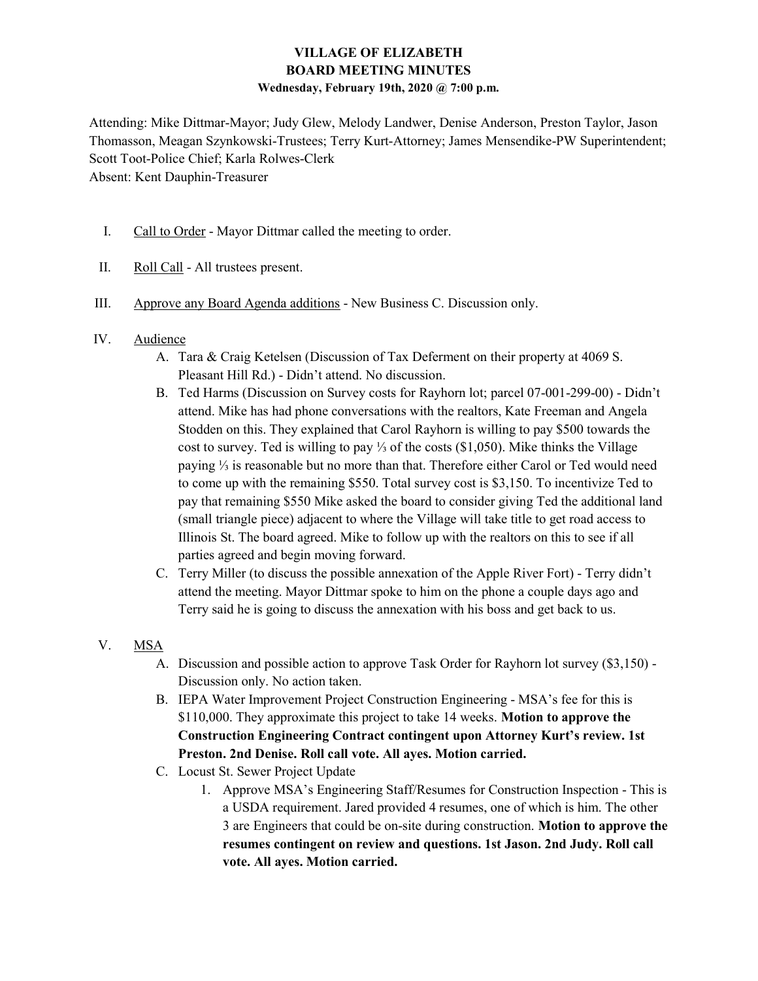# VILLAGE OF ELIZABETH BOARD MEETING MINUTES Wednesday, February 19th, 2020 @ 7:00 p.m.

Attending: Mike Dittmar-Mayor; Judy Glew, Melody Landwer, Denise Anderson, Preston Taylor, Jason Thomasson, Meagan Szynkowski-Trustees; Terry Kurt-Attorney; James Mensendike-PW Superintendent; Scott Toot-Police Chief; Karla Rolwes-Clerk Absent: Kent Dauphin-Treasurer

- I. Call to Order Mayor Dittmar called the meeting to order.
- II. Roll Call All trustees present.
- III. Approve any Board Agenda additions New Business C. Discussion only.
- IV. Audience
	- A. Tara & Craig Ketelsen (Discussion of Tax Deferment on their property at 4069 S. Pleasant Hill Rd.) - Didn't attend. No discussion.
	- B. Ted Harms (Discussion on Survey costs for Rayhorn lot; parcel 07-001-299-00) Didn't attend. Mike has had phone conversations with the realtors, Kate Freeman and Angela Stodden on this. They explained that Carol Rayhorn is willing to pay \$500 towards the cost to survey. Ted is willing to pay ⅓ of the costs (\$1,050). Mike thinks the Village paying ⅓ is reasonable but no more than that. Therefore either Carol or Ted would need to come up with the remaining \$550. Total survey cost is \$3,150. To incentivize Ted to pay that remaining \$550 Mike asked the board to consider giving Ted the additional land (small triangle piece) adjacent to where the Village will take title to get road access to Illinois St. The board agreed. Mike to follow up with the realtors on this to see if all parties agreed and begin moving forward.
	- C. Terry Miller (to discuss the possible annexation of the Apple River Fort) Terry didn't attend the meeting. Mayor Dittmar spoke to him on the phone a couple days ago and Terry said he is going to discuss the annexation with his boss and get back to us.
- V. MSA
	- A. Discussion and possible action to approve Task Order for Rayhorn lot survey (\$3,150) Discussion only. No action taken.
	- B. IEPA Water Improvement Project Construction Engineering MSA's fee for this is \$110,000. They approximate this project to take 14 weeks. **Motion to approve the** Construction Engineering Contract contingent upon Attorney Kurt's review. 1st Preston. 2nd Denise. Roll call vote. All ayes. Motion carried.
	- C. Locust St. Sewer Project Update
		- 1. Approve MSA's Engineering Staff/Resumes for Construction Inspection This is a USDA requirement. Jared provided 4 resumes, one of which is him. The other 3 are Engineers that could be on-site during construction. Motion to approve the resumes contingent on review and questions. 1st Jason. 2nd Judy. Roll call vote. All ayes. Motion carried.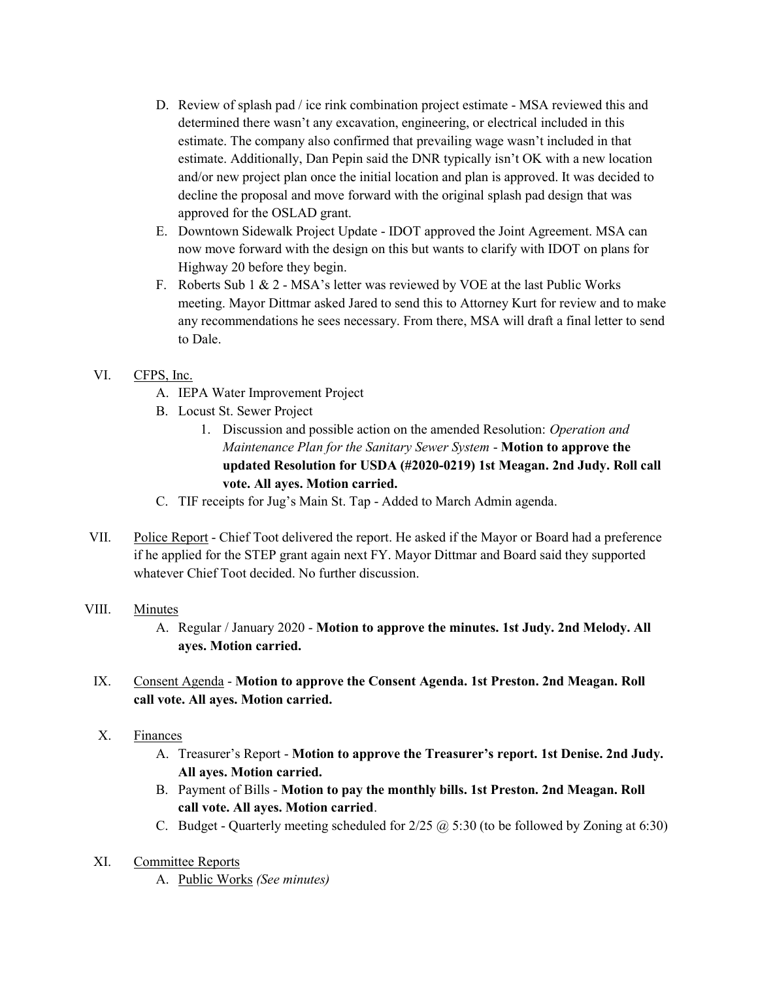- D. Review of splash pad / ice rink combination project estimate MSA reviewed this and determined there wasn't any excavation, engineering, or electrical included in this estimate. The company also confirmed that prevailing wage wasn't included in that estimate. Additionally, Dan Pepin said the DNR typically isn't OK with a new location and/or new project plan once the initial location and plan is approved. It was decided to decline the proposal and move forward with the original splash pad design that was approved for the OSLAD grant.
- E. Downtown Sidewalk Project Update IDOT approved the Joint Agreement. MSA can now move forward with the design on this but wants to clarify with IDOT on plans for Highway 20 before they begin.
- F. Roberts Sub 1 & 2 MSA's letter was reviewed by VOE at the last Public Works meeting. Mayor Dittmar asked Jared to send this to Attorney Kurt for review and to make any recommendations he sees necessary. From there, MSA will draft a final letter to send to Dale.

# VI. CFPS, Inc.

- A. IEPA Water Improvement Project
- B. Locust St. Sewer Project
	- 1. Discussion and possible action on the amended Resolution: Operation and Maintenance Plan for the Sanitary Sewer System - Motion to approve the updated Resolution for USDA (#2020-0219) 1st Meagan. 2nd Judy. Roll call vote. All ayes. Motion carried.
- C. TIF receipts for Jug's Main St. Tap Added to March Admin agenda.
- VII. Police Report Chief Toot delivered the report. He asked if the Mayor or Board had a preference if he applied for the STEP grant again next FY. Mayor Dittmar and Board said they supported whatever Chief Toot decided. No further discussion.

# VIII. Minutes

- A. Regular / January 2020 Motion to approve the minutes. 1st Judy. 2nd Melody. All ayes. Motion carried.
- IX. Consent Agenda Motion to approve the Consent Agenda. 1st Preston. 2nd Meagan. Roll call vote. All ayes. Motion carried.
- X. Finances
	- A. Treasurer's Report Motion to approve the Treasurer's report. 1st Denise. 2nd Judy. All ayes. Motion carried.
	- B. Payment of Bills Motion to pay the monthly bills. 1st Preston. 2nd Meagan. Roll call vote. All ayes. Motion carried.
	- C. Budget Quarterly meeting scheduled for  $2/25$   $\omega$  5:30 (to be followed by Zoning at 6:30)
- XI. Committee Reports
	- A. Public Works (See minutes)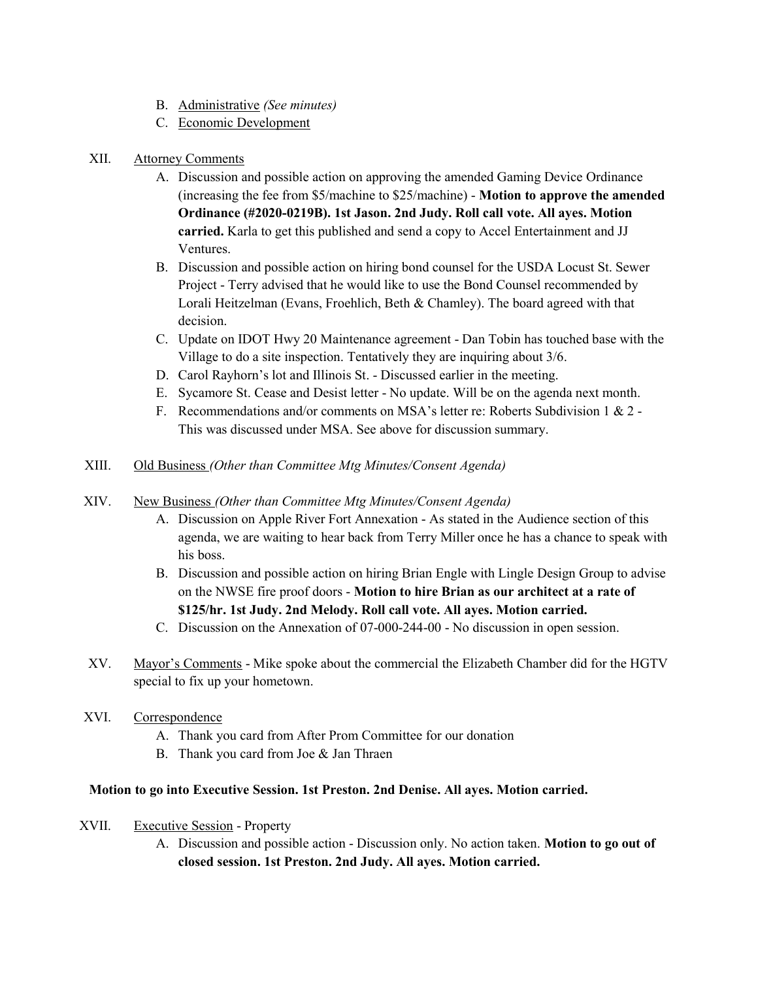- B. Administrative (See minutes)
- C. Economic Development

### XII. Attorney Comments

- A. Discussion and possible action on approving the amended Gaming Device Ordinance (increasing the fee from  $$5/machine$  to  $$25/machine$ ) - **Motion to approve the amended** Ordinance (#2020-0219B). 1st Jason. 2nd Judy. Roll call vote. All ayes. Motion carried. Karla to get this published and send a copy to Accel Entertainment and JJ Ventures.
- B. Discussion and possible action on hiring bond counsel for the USDA Locust St. Sewer Project - Terry advised that he would like to use the Bond Counsel recommended by Lorali Heitzelman (Evans, Froehlich, Beth & Chamley). The board agreed with that decision.
- C. Update on IDOT Hwy 20 Maintenance agreement Dan Tobin has touched base with the Village to do a site inspection. Tentatively they are inquiring about 3/6.
- D. Carol Rayhorn's lot and Illinois St. Discussed earlier in the meeting.
- E. Sycamore St. Cease and Desist letter No update. Will be on the agenda next month.
- F. Recommendations and/or comments on MSA's letter re: Roberts Subdivision 1 & 2 This was discussed under MSA. See above for discussion summary.
- XIII. Old Business (Other than Committee Mtg Minutes/Consent Agenda)

### XIV. New Business (Other than Committee Mtg Minutes/Consent Agenda)

- A. Discussion on Apple River Fort Annexation As stated in the Audience section of this agenda, we are waiting to hear back from Terry Miller once he has a chance to speak with his boss.
- B. Discussion and possible action on hiring Brian Engle with Lingle Design Group to advise on the NWSE fire proof doors - Motion to hire Brian as our architect at a rate of \$125/hr. 1st Judy. 2nd Melody. Roll call vote. All ayes. Motion carried.
- C. Discussion on the Annexation of 07-000-244-00 No discussion in open session.
- XV. Mayor's Comments Mike spoke about the commercial the Elizabeth Chamber did for the HGTV special to fix up your hometown.
- XVI. Correspondence
	- A. Thank you card from After Prom Committee for our donation
	- B. Thank you card from Joe & Jan Thraen

### Motion to go into Executive Session. 1st Preston. 2nd Denise. All ayes. Motion carried.

### XVII. Executive Session - Property

A. Discussion and possible action - Discussion only. No action taken. Motion to go out of closed session. 1st Preston. 2nd Judy. All ayes. Motion carried.